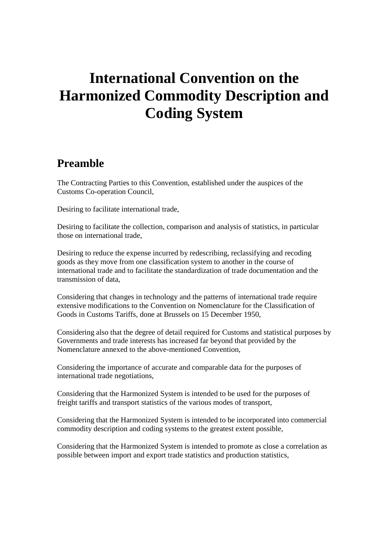# **International Convention on the Harmonized Commodity Description and Coding System**

## **Preamble**

The Contracting Parties to this Convention, established under the auspices of the Customs Co-operation Council,

Desiring to facilitate international trade,

Desiring to facilitate the collection, comparison and analysis of statistics, in particular those on international trade,

Desiring to reduce the expense incurred by redescribing, reclassifying and recoding goods as they move from one classification system to another in the course of international trade and to facilitate the standardization of trade documentation and the transmission of data,

Considering that changes in technology and the patterns of international trade require extensive modifications to the Convention on Nomenclature for the Classification of Goods in Customs Tariffs, done at Brussels on 15 December 1950,

Considering also that the degree of detail required for Customs and statistical purposes by Governments and trade interests has increased far beyond that provided by the Nomenclature annexed to the above-mentioned Convention,

Considering the importance of accurate and comparable data for the purposes of international trade negotiations,

Considering that the Harmonized System is intended to be used for the purposes of freight tariffs and transport statistics of the various modes of transport,

Considering that the Harmonized System is intended to be incorporated into commercial commodity description and coding systems to the greatest extent possible,

Considering that the Harmonized System is intended to promote as close a correlation as possible between import and export trade statistics and production statistics,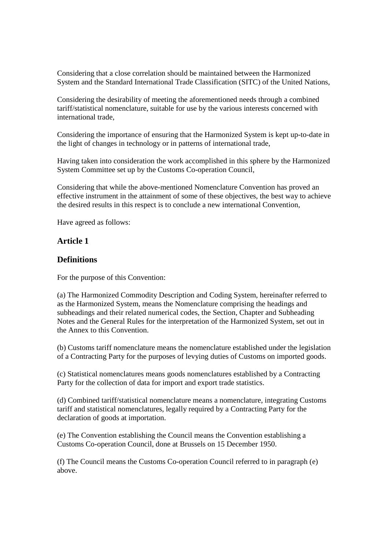Considering that a close correlation should be maintained between the Harmonized System and the Standard International Trade Classification (SITC) of the United Nations,

Considering the desirability of meeting the aforementioned needs through a combined tariff/statistical nomenclature, suitable for use by the various interests concerned with international trade,

Considering the importance of ensuring that the Harmonized System is kept up-to-date in the light of changes in technology or in patterns of international trade,

Having taken into consideration the work accomplished in this sphere by the Harmonized System Committee set up by the Customs Co-operation Council,

Considering that while the above-mentioned Nomenclature Convention has proved an effective instrument in the attainment of some of these objectives, the best way to achieve the desired results in this respect is to conclude a new international Convention,

Have agreed as follows:

#### **Article 1**

#### **Definitions**

For the purpose of this Convention:

(a) The Harmonized Commodity Description and Coding System, hereinafter referred to as the Harmonized System, means the Nomenclature comprising the headings and subheadings and their related numerical codes, the Section, Chapter and Subheading Notes and the General Rules for the interpretation of the Harmonized System, set out in the Annex to this Convention.

(b) Customs tariff nomenclature means the nomenclature established under the legislation of a Contracting Party for the purposes of levying duties of Customs on imported goods.

(c) Statistical nomenclatures means goods nomenclatures established by a Contracting Party for the collection of data for import and export trade statistics.

(d) Combined tariff/statistical nomenclature means a nomenclature, integrating Customs tariff and statistical nomenclatures, legally required by a Contracting Party for the declaration of goods at importation.

(e) The Convention establishing the Council means the Convention establishing a Customs Co-operation Council, done at Brussels on 15 December 1950.

(f) The Council means the Customs Co-operation Council referred to in paragraph (e) above.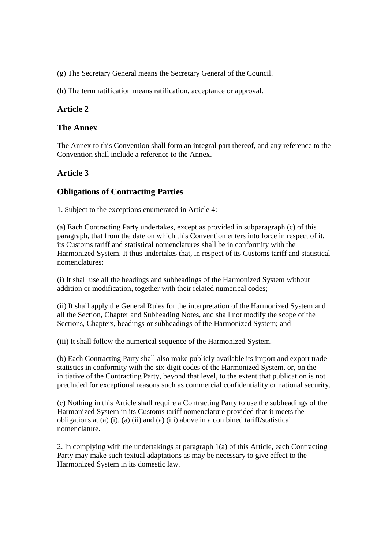(g) The Secretary General means the Secretary General of the Council.

(h) The term ratification means ratification, acceptance or approval.

## **Article 2**

#### **The Annex**

The Annex to this Convention shall form an integral part thereof, and any reference to the Convention shall include a reference to the Annex.

#### **Article 3**

## **Obligations of Contracting Parties**

1. Subject to the exceptions enumerated in Article 4:

(a) Each Contracting Party undertakes, except as provided in subparagraph (c) of this paragraph, that from the date on which this Convention enters into force in respect of it, its Customs tariff and statistical nomenclatures shall be in conformity with the Harmonized System. It thus undertakes that, in respect of its Customs tariff and statistical nomenclatures:

(i) It shall use all the headings and subheadings of the Harmonized System without addition or modification, together with their related numerical codes;

(ii) It shall apply the General Rules for the interpretation of the Harmonized System and all the Section, Chapter and Subheading Notes, and shall not modify the scope of the Sections, Chapters, headings or subheadings of the Harmonized System; and

(iii) It shall follow the numerical sequence of the Harmonized System.

(b) Each Contracting Party shall also make publicly available its import and export trade statistics in conformity with the six-digit codes of the Harmonized System, or, on the initiative of the Contracting Party, beyond that level, to the extent that publication is not precluded for exceptional reasons such as commercial confidentiality or national security.

(c) Nothing in this Article shall require a Contracting Party to use the subheadings of the Harmonized System in its Customs tariff nomenclature provided that it meets the obligations at (a) (i), (a) (ii) and (a) (iii) above in a combined tariff/statistical nomenclature.

2. In complying with the undertakings at paragraph 1(a) of this Article, each Contracting Party may make such textual adaptations as may be necessary to give effect to the Harmonized System in its domestic law.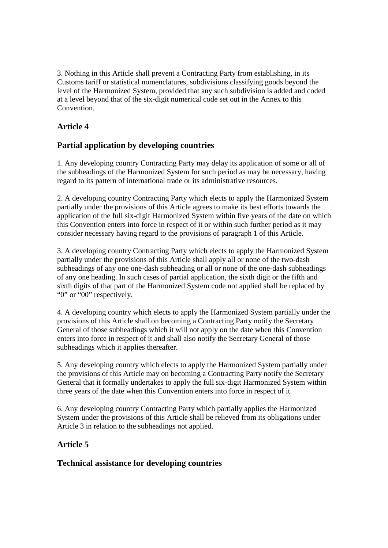3. Nothing in this Article shall prevent a Contracting Party from establishing, in its Customs tariff or statistical nomenclatures, subdivisions classifying goods beyond the level of the Harmonized System, provided that any such subdivision is added and coded at a level beyond that of the six-digit numerical code set out in the Annex to this Convention.

## **Article 4**

## **Partial application by developing countries**

1. Any developing country Contracting Party may delay its application of some or all of the subheadings of the Harmonized System for such period as may be necessary, having regard to its pattern of international trade or its administrative resources.

2. A developing country Contracting Party which elects to apply the Harmonized System partially under the provisions of this Article agrees to make its best efforts towards the application of the full six-digit Harmonized System within five years of the date on which this Convention enters into force in respect of it or within such further period as it may consider necessary having regard to the provisions of paragraph 1 of this Article.

3. A developing country Contracting Party which elects to apply the Harmonized System partially under the provisions of this Article shall apply all or none of the two-dash subheadings of any one one-dash subheading or all or none of the one-dash subheadings of any one heading. In such cases of partial application, the sixth digit or the fifth and sixth digits of that part of the Harmonized System code not applied shall be replaced by "0" or "00" respectively.

4. A developing country which elects to apply the Harmonized System partially under the provisions of this Article shall on becoming a Contracting Party notify the Secretary General of those subheadings which it will not apply on the date when this Convention enters into force in respect of it and shall also notify the Secretary General of those subheadings which it applies thereafter.

5. Any developing country which elects to apply the Harmonized System partially under the provisions of this Article may on becoming a Contracting Party notify the Secretary General that it formally undertakes to apply the full six-digit Harmonized System within three years of the date when this Convention enters into force in respect of it.

6. Any developing country Contracting Party which partially applies the Harmonized System under the provisions of this Article shall be relieved from its obligations under Article 3 in relation to the subheadings not applied.

## **Article 5**

#### **Technical assistance for developing countries**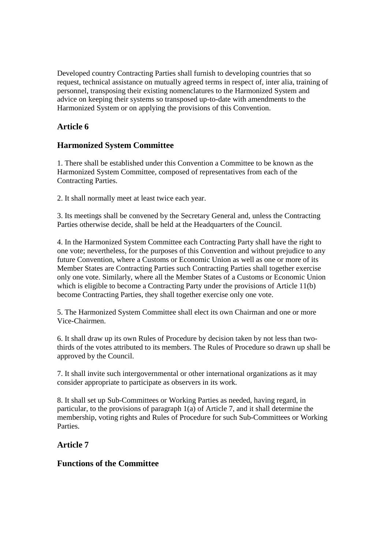Developed country Contracting Parties shall furnish to developing countries that so request, technical assistance on mutually agreed terms in respect of, inter alia, training of personnel, transposing their existing nomenclatures to the Harmonized System and advice on keeping their systems so transposed up-to-date with amendments to the Harmonized System or on applying the provisions of this Convention.

## **Article 6**

## **Harmonized System Committee**

1. There shall be established under this Convention a Committee to be known as the Harmonized System Committee, composed of representatives from each of the Contracting Parties.

2. It shall normally meet at least twice each year.

3. Its meetings shall be convened by the Secretary General and, unless the Contracting Parties otherwise decide, shall be held at the Headquarters of the Council.

4. In the Harmonized System Committee each Contracting Party shall have the right to one vote; nevertheless, for the purposes of this Convention and without prejudice to any future Convention, where a Customs or Economic Union as well as one or more of its Member States are Contracting Parties such Contracting Parties shall together exercise only one vote. Similarly, where all the Member States of a Customs or Economic Union which is eligible to become a Contracting Party under the provisions of Article 11(b) become Contracting Parties, they shall together exercise only one vote.

5. The Harmonized System Committee shall elect its own Chairman and one or more Vice-Chairmen.

6. It shall draw up its own Rules of Procedure by decision taken by not less than twothirds of the votes attributed to its members. The Rules of Procedure so drawn up shall be approved by the Council.

7. It shall invite such intergovernmental or other international organizations as it may consider appropriate to participate as observers in its work.

8. It shall set up Sub-Committees or Working Parties as needed, having regard, in particular, to the provisions of paragraph 1(a) of Article 7, and it shall determine the membership, voting rights and Rules of Procedure for such Sub-Committees or Working Parties.

## **Article 7**

## **Functions of the Committee**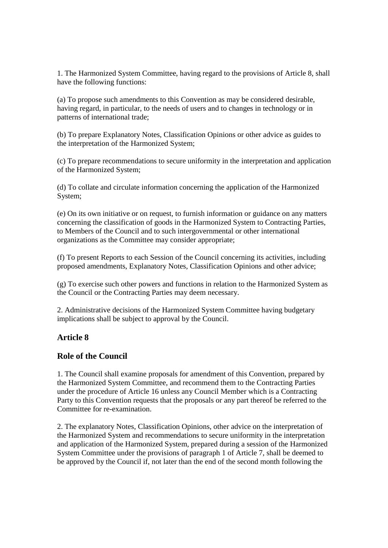1. The Harmonized System Committee, having regard to the provisions of Article 8, shall have the following functions:

(a) To propose such amendments to this Convention as may be considered desirable, having regard, in particular, to the needs of users and to changes in technology or in patterns of international trade;

(b) To prepare Explanatory Notes, Classification Opinions or other advice as guides to the interpretation of the Harmonized System;

(c) To prepare recommendations to secure uniformity in the interpretation and application of the Harmonized System;

(d) To collate and circulate information concerning the application of the Harmonized System;

(e) On its own initiative or on request, to furnish information or guidance on any matters concerning the classification of goods in the Harmonized System to Contracting Parties, to Members of the Council and to such intergovernmental or other international organizations as the Committee may consider appropriate;

(f) To present Reports to each Session of the Council concerning its activities, including proposed amendments, Explanatory Notes, Classification Opinions and other advice;

(g) To exercise such other powers and functions in relation to the Harmonized System as the Council or the Contracting Parties may deem necessary.

2. Administrative decisions of the Harmonized System Committee having budgetary implications shall be subject to approval by the Council.

#### **Article 8**

#### **Role of the Council**

1. The Council shall examine proposals for amendment of this Convention, prepared by the Harmonized System Committee, and recommend them to the Contracting Parties under the procedure of Article 16 unless any Council Member which is a Contracting Party to this Convention requests that the proposals or any part thereof be referred to the Committee for re-examination.

2. The explanatory Notes, Classification Opinions, other advice on the interpretation of the Harmonized System and recommendations to secure uniformity in the interpretation and application of the Harmonized System, prepared during a session of the Harmonized System Committee under the provisions of paragraph 1 of Article 7, shall be deemed to be approved by the Council if, not later than the end of the second month following the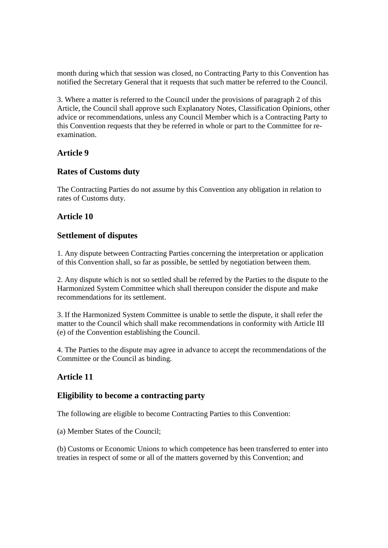month during which that session was closed, no Contracting Party to this Convention has notified the Secretary General that it requests that such matter be referred to the Council.

3. Where a matter is referred to the Council under the provisions of paragraph 2 of this Article, the Council shall approve such Explanatory Notes, Classification Opinions, other advice or recommendations, unless any Council Member which is a Contracting Party to this Convention requests that they be referred in whole or part to the Committee for reexamination.

#### **Article 9**

#### **Rates of Customs duty**

The Contracting Parties do not assume by this Convention any obligation in relation to rates of Customs duty.

## **Article 10**

## **Settlement of disputes**

1. Any dispute between Contracting Parties concerning the interpretation or application of this Convention shall, so far as possible, be settled by negotiation between them.

2. Any dispute which is not so settled shall be referred by the Parties to the dispute to the Harmonized System Committee which shall thereupon consider the dispute and make recommendations for its settlement.

3. If the Harmonized System Committee is unable to settle the dispute, it shall refer the matter to the Council which shall make recommendations in conformity with Article III (e) of the Convention establishing the Council.

4. The Parties to the dispute may agree in advance to accept the recommendations of the Committee or the Council as binding.

## **Article 11**

#### **Eligibility to become a contracting party**

The following are eligible to become Contracting Parties to this Convention:

(a) Member States of the Council;

(b) Customs or Economic Unions to which competence has been transferred to enter into treaties in respect of some or all of the matters governed by this Convention; and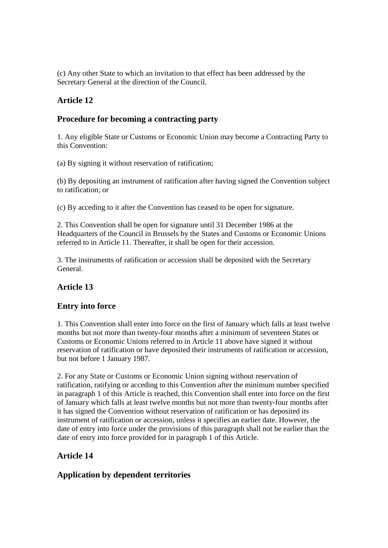(c) Any other State to which an invitation to that effect has been addressed by the Secretary General at the direction of the Council.

## **Article 12**

## **Procedure for becoming a contracting party**

1. Any eligible State or Customs or Economic Union may become a Contracting Party to this Convention:

(a) By signing it without reservation of ratification;

(b) By depositing an instrument of ratification after having signed the Convention subject to ratification; or

(c) By acceding to it after the Convention has ceased to be open for signature.

2. This Convention shall be open for signature until 31 December 1986 at the Headquarters of the Council in Brussels by the States and Customs or Economic Unions referred to in Article 11. Thereafter, it shall be open for their accession.

3. The instruments of ratification or accession shall be deposited with the Secretary General.

## **Article 13**

## **Entry into force**

1. This Convention shall enter into force on the first of January which falls at least twelve months but not more than twenty-four months after a minimum of seventeen States or Customs or Economic Unions referred to in Article 11 above have signed it without reservation of ratification or have deposited their instruments of ratification or accession, but not before 1 January 1987.

2. For any State or Customs or Economic Union signing without reservation of ratification, ratifying or acceding to this Convention after the minimum number specified in paragraph 1 of this Article is reached, this Convention shall enter into force on the first of January which falls at least twelve months but not more than twenty-four months after it has signed the Convention without reservation of ratification or has deposited its instrument of ratification or accession, unless it specifies an earlier date. However, the date of entry into force under the provisions of this paragraph shall not be earlier than the date of entry into force provided for in paragraph 1 of this Article.

## **Article 14**

## **Application by dependent territories**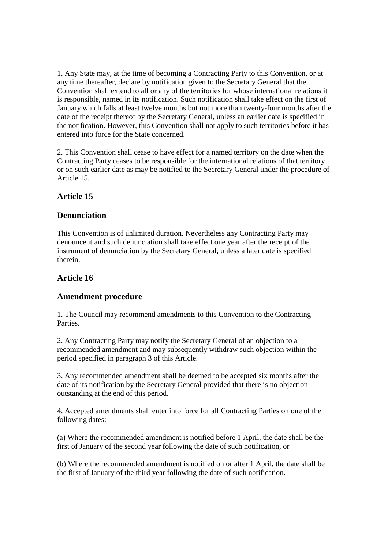1. Any State may, at the time of becoming a Contracting Party to this Convention, or at any time thereafter, declare by notification given to the Secretary General that the Convention shall extend to all or any of the territories for whose international relations it is responsible, named in its notification. Such notification shall take effect on the first of January which falls at least twelve months but not more than twenty-four months after the date of the receipt thereof by the Secretary General, unless an earlier date is specified in the notification. However, this Convention shall not apply to such territories before it has entered into force for the State concerned.

2. This Convention shall cease to have effect for a named territory on the date when the Contracting Party ceases to be responsible for the international relations of that territory or on such earlier date as may be notified to the Secretary General under the procedure of Article 15.

## **Article 15**

## **Denunciation**

This Convention is of unlimited duration. Nevertheless any Contracting Party may denounce it and such denunciation shall take effect one year after the receipt of the instrument of denunciation by the Secretary General, unless a later date is specified therein.

## **Article 16**

#### **Amendment procedure**

1. The Council may recommend amendments to this Convention to the Contracting Parties.

2. Any Contracting Party may notify the Secretary General of an objection to a recommended amendment and may subsequently withdraw such objection within the period specified in paragraph 3 of this Article.

3. Any recommended amendment shall be deemed to be accepted six months after the date of its notification by the Secretary General provided that there is no objection outstanding at the end of this period.

4. Accepted amendments shall enter into force for all Contracting Parties on one of the following dates:

(a) Where the recommended amendment is notified before 1 April, the date shall be the first of January of the second year following the date of such notification, or

(b) Where the recommended amendment is notified on or after 1 April, the date shall be the first of January of the third year following the date of such notification.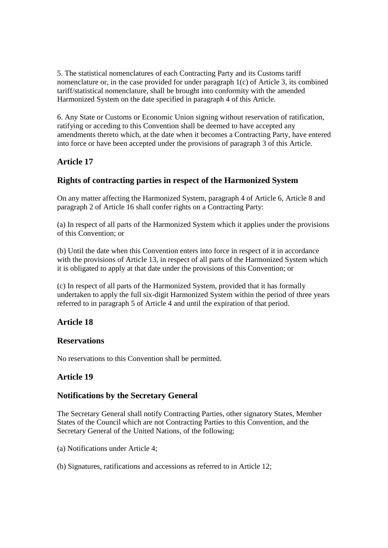5. The statistical nomenclatures of each Contracting Party and its Customs tariff nomenclature or, in the case provided for under paragraph 1(c) of Article 3, its combined tariff/statistical nomenclature, shall be brought into conformity with the amended Harmonized System on the date specified in paragraph 4 of this Article.

6. Any State or Customs or Economic Union signing without reservation of ratification, ratifying or acceding to this Convention shall be deemed to have accepted any amendments thereto which, at the date when it becomes a Contracting Party, have entered into force or have been accepted under the provisions of paragraph 3 of this Article.

## **Article 17**

## **Rights of contracting parties in respect of the Harmonized System**

On any matter affecting the Harmonized System, paragraph 4 of Article 6, Article 8 and paragraph 2 of Article 16 shall confer rights on a Contracting Party:

(a) In respect of all parts of the Harmonized System which it applies under the provisions of this Convention; or

(b) Until the date when this Convention enters into force in respect of it in accordance with the provisions of Article 13, in respect of all parts of the Harmonized System which it is obligated to apply at that date under the provisions of this Convention; or

(c) In respect of all parts of the Harmonized System, provided that it has formally undertaken to apply the full six-digit Harmonized System within the period of three years referred to in paragraph 5 of Article 4 and until the expiration of that period.

## **Article 18**

## **Reservations**

No reservations to this Convention shall be permitted.

## **Article 19**

## **Notifications by the Secretary General**

The Secretary General shall notify Contracting Parties, other signatory States, Member States of the Council which are not Contracting Parties to this Convention, and the Secretary General of the United Nations, of the following:

(a) Notifications under Article 4;

(b) Signatures, ratifications and accessions as referred to in Article 12;